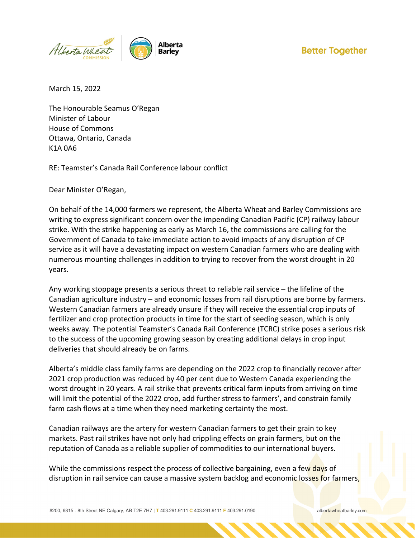

## **Better Together**

March 15, 2022

The Honourable Seamus O'Regan Minister of Labour House of Commons Ottawa, Ontario, Canada K1A 0A6

RE: Teamster's Canada Rail Conference labour conflict

Dear Minister O'Regan,

On behalf of the 14,000 farmers we represent, the Alberta Wheat and Barley Commissions are writing to express significant concern over the impending Canadian Pacific (CP) railway labour strike. With the strike happening as early as March 16, the commissions are calling for the Government of Canada to take immediate action to avoid impacts of any disruption of CP service as it will have a devastating impact on western Canadian farmers who are dealing with numerous mounting challenges in addition to trying to recover from the worst drought in 20 years.

Any working stoppage presents a serious threat to reliable rail service – the lifeline of the Canadian agriculture industry – and economic losses from rail disruptions are borne by farmers. Western Canadian farmers are already unsure if they will receive the essential crop inputs of fertilizer and crop protection products in time for the start of seeding season, which is only weeks away. The potential Teamster's Canada Rail Conference (TCRC) strike poses a serious risk to the success of the upcoming growing season by creating additional delays in crop input deliveries that should already be on farms.

Alberta's middle class family farms are depending on the 2022 crop to financially recover after 2021 crop production was reduced by 40 per cent due to Western Canada experiencing the worst drought in 20 years. A rail strike that prevents critical farm inputs from arriving on time will limit the potential of the 2022 crop, add further stress to farmers', and constrain family farm cash flows at a time when they need marketing certainty the most.

Canadian railways are the artery for western Canadian farmers to get their grain to key markets. Past rail strikes have not only had crippling effects on grain farmers, but on the reputation of Canada as a reliable supplier of commodities to our international buyers.

While the commissions respect the process of collective bargaining, even a few days of disruption in rail service can cause a massive system backlog and economic losses for farmers,

#200, 6815 - 8th Street NE Calgary, AB T2E 7H7 | **T** 403.291.9111 **C** 403.291.9111 **F** 403.291.0190 albertawheatbarley.com